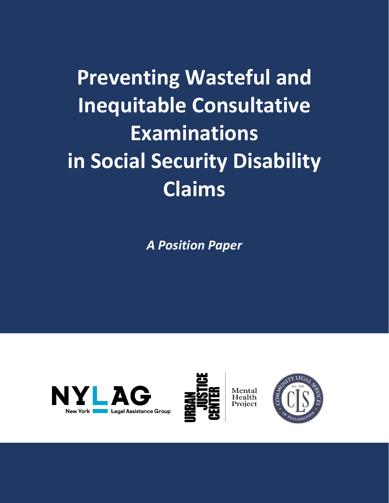**Preventing Wasteful and Inequitable Consultative Examinations in Social Security Disability Claims**

*A Position Paper*





Mental<br>Health

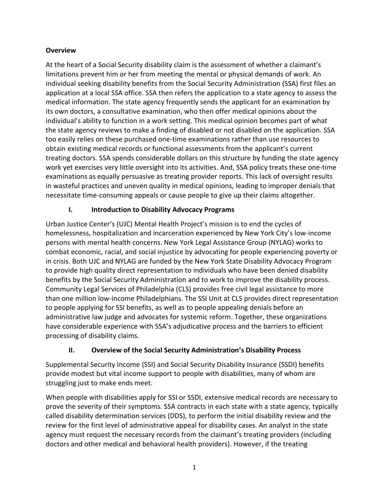### **Overview**

At the heart of a Social Security disability claim is the assessment of whether a claimant's limitations prevent him or her from meeting the mental or physical demands of work. An individual seeking disability benefits from the Social Security Administration (SSA) first files an application at a local SSA office. SSA then refers the application to a state agency to assess the medical information. The state agency frequently sends the applicant for an examination by its own doctors, a consultative examination, who then offer medical opinions about the individual's ability to function in a work setting. This medical opinion becomes part of what the state agency reviews to make a finding of disabled or not disabled on the application. SSA too easily relies on these purchased one-time examinations rather than use resources to obtain existing medical records or functional assessments from the applicant's current treating doctors. SSA spends considerable dollars on this structure by funding the state agency work yet exercises very little oversight into its activities. And, SSA policy treats these one-time examinations as equally persuasive as treating provider reports. This lack of oversight results in wasteful practices and uneven quality in medical opinions, leading to improper denials that necessitate time-consuming appeals or cause people to give up their claims altogether.

# **I. Introduction to Disability Advocacy Programs**

Urban Justice Center's (UJC) Mental Health Project's mission is to end the cycles of homelessness, hospitalization and incarceration experienced by New York City's low-income persons with mental health concerns. New York Legal Assistance Group (NYLAG) works to combat economic, racial, and social injustice by advocating for people experiencing poverty or in crisis. Both UJC and NYLAG are funded by the New York State Disability Advocacy Program to provide high quality direct representation to individuals who have been denied disability benefits by the Social Security Administration and to work to improve the disability process. Community Legal Services of Philadelphia (CLS) provides free civil legal assistance to more than one million low-income Philadelphians. The SSI Unit at CLS provides direct representation to people applying for SSI benefits, as well as to people appealing denials before an administrative law judge and advocates for systemic reform. Together, these organizations have considerable experience with SSA's adjudicative process and the barriers to efficient processing of disability claims.

## **II. Overview of the Social Security Administration's Disability Process**

Supplemental Security Income (SSI) and Social Security Disability Insurance (SSDI) benefits provide modest but vital income support to people with disabilities, many of whom are struggling just to make ends meet.

When people with disabilities apply for SSI or SSDI, extensive medical records are necessary to prove the severity of their symptoms. SSA contracts in each state with a state agency, typically called disability determination services (DDS), to perform the initial disability review and the review for the first level of administrative appeal for disability cases. An analyst in the state agency must request the necessary records from the claimant's treating providers (including doctors and other medical and behavioral health providers). However, if the treating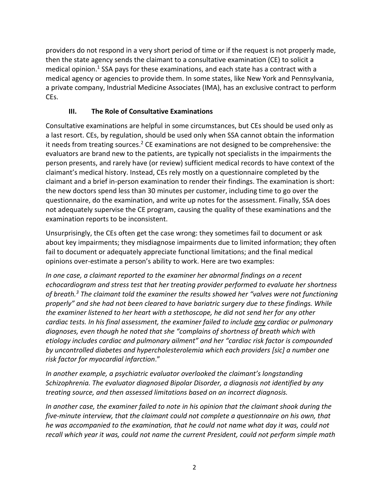providers do not respond in a very short period of time or if the request is not properly made, then the state agency sends the claimant to a consultative examination (CE) to solicit a medical opinion. <sup>1</sup> SSA pays for these examinations, and each state has a contract with a medical agency or agencies to provide them. In some states, like New York and Pennsylvania, a private company, Industrial Medicine Associates (IMA), has an exclusive contract to perform CEs.

## **III. The Role of Consultative Examinations**

Consultative examinations are helpful in some circumstances, but CEs should be used only as a last resort. CEs, by regulation, should be used only when SSA cannot obtain the information it needs from treating sources. <sup>2</sup> CE examinations are not designed to be comprehensive: the evaluators are brand new to the patients, are typically not specialists in the impairments the person presents, and rarely have (or review) sufficient medical records to have context of the claimant's medical history. Instead, CEs rely mostly on a questionnaire completed by the claimant and a brief in-person examination to render their findings. The examination is short: the new doctors spend less than 30 minutes per customer, including time to go over the questionnaire, do the examination, and write up notes for the assessment. Finally, SSA does not adequately supervise the CE program, causing the quality of these examinations and the examination reports to be inconsistent.

Unsurprisingly, the CEs often get the case wrong: they sometimes fail to document or ask about key impairments; they misdiagnose impairments due to limited information; they often fail to document or adequately appreciate functional limitations; and the final medical opinions over-estimate a person's ability to work. Here are two examples:

*In one case, a claimant reported to the examiner her abnormal findings on a recent echocardiogram and stress test that her treating provider performed to evaluate her shortness of breath.<sup>3</sup> The claimant told the examiner the results showed her "valves were not functioning properly" and she had not been cleared to have bariatric surgery due to these findings. While the examiner listened to her heart with a stethoscope, he did not send her for any other cardiac tests. In his final assessment, the examiner failed to include any cardiac or pulmonary diagnoses, even though he noted that she "complains of shortness of breath which with etiology includes cardiac and pulmonary ailment" and her "cardiac risk factor is compounded by uncontrolled diabetes and hypercholesterolemia which each providers [sic] a number one risk factor for myocardial infarction*."

*In another example, a psychiatric evaluator overlooked the claimant's longstanding Schizophrenia. The evaluator diagnosed Bipolar Disorder, a diagnosis not identified by any treating source, and then assessed limitations based on an incorrect diagnosis.*

*In another case, the examiner failed to note in his opinion that the claimant shook during the five-minute interview, that the claimant could not complete a questionnaire on his own, that he was accompanied to the examination, that he could not name what day it was, could not recall which year it was, could not name the current President, could not perform simple math*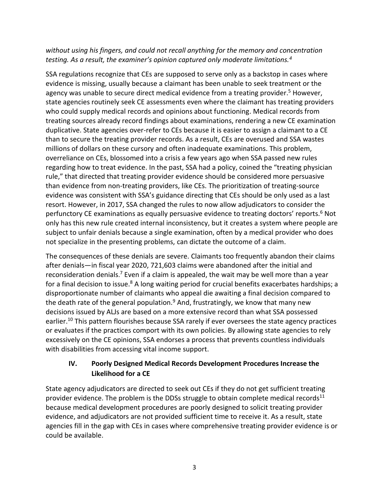### *without using his fingers, and could not recall anything for the memory and concentration testing. As a result, the examiner's opinion captured only moderate limitations.<sup>4</sup>*

SSA regulations recognize that CEs are supposed to serve only as a backstop in cases where evidence is missing, usually because a claimant has been unable to seek treatment or the agency was unable to secure direct medical evidence from a treating provider.<sup>5</sup> However, state agencies routinely seek CE assessments even where the claimant has treating providers who could supply medical records and opinions about functioning. Medical records from treating sources already record findings about examinations, rendering a new CE examination duplicative. State agencies over-refer to CEs because it is easier to assign a claimant to a CE than to secure the treating provider records. As a result, CEs are overused and SSA wastes millions of dollars on these cursory and often inadequate examinations. This problem, overreliance on CEs, blossomed into a crisis a few years ago when SSA passed new rules regarding how to treat evidence. In the past, SSA had a policy, coined the "treating physician rule," that directed that treating provider evidence should be considered more persuasive than evidence from non-treating providers, like CEs. The prioritization of treating-source evidence was consistent with SSA's guidance directing that CEs should be only used as a last resort. However, in 2017, SSA changed the rules to now allow adjudicators to consider the perfunctory CE examinations as equally persuasive evidence to treating doctors' reports.<sup>6</sup> Not only has this new rule created internal inconsistency, but it creates a system where people are subject to unfair denials because a single examination, often by a medical provider who does not specialize in the presenting problems, can dictate the outcome of a claim.

The consequences of these denials are severe. Claimants too frequently abandon their claims after denials—in fiscal year 2020, 721,603 claims were abandoned after the initial and reconsideration denials.<sup>7</sup> Even if a claim is appealed, the wait may be well more than a year for a final decision to issue.<sup>8</sup> A long waiting period for crucial benefits exacerbates hardships; a disproportionate number of claimants who appeal die awaiting a final decision compared to the death rate of the general population.<sup>9</sup> And, frustratingly, we know that many new decisions issued by ALJs are based on a more extensive record than what SSA possessed earlier.<sup>10</sup> This pattern flourishes because SSA rarely if ever oversees the state agency practices or evaluates if the practices comport with its own policies. By allowing state agencies to rely excessively on the CE opinions, SSA endorses a process that prevents countless individuals with disabilities from accessing vital income support.

## **IV. Poorly Designed Medical Records Development Procedures Increase the Likelihood for a CE**

State agency adjudicators are directed to seek out CEs if they do not get sufficient treating provider evidence. The problem is the DDSs struggle to obtain complete medical records $11$ because medical development procedures are poorly designed to solicit treating provider evidence, and adjudicators are not provided sufficient time to receive it. As a result, state agencies fill in the gap with CEs in cases where comprehensive treating provider evidence is or could be available.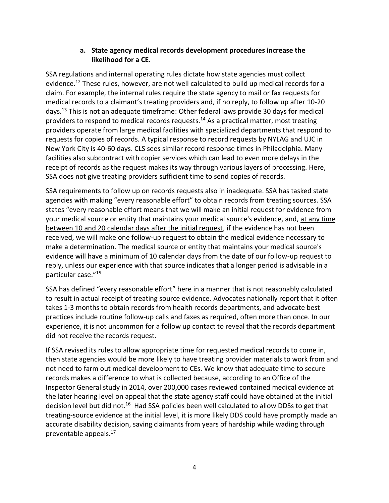#### **a. State agency medical records development procedures increase the likelihood for a CE.**

SSA regulations and internal operating rules dictate how state agencies must collect evidence. <sup>12</sup> These rules, however, are not well calculated to build up medical records for a claim. For example, the internal rules require the state agency to mail or fax requests for medical records to a claimant's treating providers and, if no reply, to follow up after 10-20 days.<sup>13</sup> This is not an adequate timeframe: Other federal laws provide 30 days for medical providers to respond to medical records requests. <sup>14</sup> As a practical matter, most treating providers operate from large medical facilities with specialized departments that respond to requests for copies of records. A typical response to record requests by NYLAG and UJC in New York City is 40-60 days. CLS sees similar record response times in Philadelphia. Many facilities also subcontract with copier services which can lead to even more delays in the receipt of records as the request makes its way through various layers of processing. Here, SSA does not give treating providers sufficient time to send copies of records.

SSA requirements to follow up on records requests also in inadequate. SSA has tasked state agencies with making "every reasonable effort" to obtain records from treating sources. SSA states "every reasonable effort means that we will make an initial request for evidence from your medical source or entity that maintains your medical source's evidence, and, at any time between 10 and 20 calendar days after the initial request, if the evidence has not been received, we will make one follow-up request to obtain the medical evidence necessary to make a determination. The medical source or entity that maintains your medical source's evidence will have a minimum of 10 calendar days from the date of our follow-up request to reply, unless our experience with that source indicates that a longer period is advisable in a particular case."<sup>15</sup>

SSA has defined "every reasonable effort" here in a manner that is not reasonably calculated to result in actual receipt of treating source evidence. Advocates nationally report that it often takes 1-3 months to obtain records from health records departments, and advocate best practices include routine follow-up calls and faxes as required, often more than once. In our experience, it is not uncommon for a follow up contact to reveal that the records department did not receive the records request.

If SSA revised its rules to allow appropriate time for requested medical records to come in, then state agencies would be more likely to have treating provider materials to work from and not need to farm out medical development to CEs. We know that adequate time to secure records makes a difference to what is collected because, according to an Office of the Inspector General study in 2014, over 200,000 cases reviewed contained medical evidence at the later hearing level on appeal that the state agency staff could have obtained at the initial decision level but did not.<sup>16</sup> Had SSA policies been well calculated to allow DDSs to get that treating-source evidence at the initial level, it is more likely DDS could have promptly made an accurate disability decision, saving claimants from years of hardship while wading through preventable appeals.17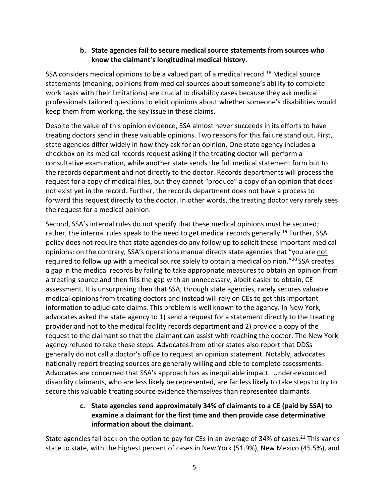#### **b. State agencies fail to secure medical source statements from sources who know the claimant's longitudinal medical history.**

SSA considers medical opinions to be a valued part of a medical record.<sup>18</sup> Medical source statements (meaning, opinions from medical sources about someone's ability to complete work tasks with their limitations) are crucial to disability cases because they ask medical professionals tailored questions to elicit opinions about whether someone's disabilities would keep them from working, the key issue in these claims.

Despite the value of this opinion evidence, SSA almost never succeeds in its efforts to have treating doctors send in these valuable opinions. Two reasons for this failure stand out. First, state agencies differ widely in how they ask for an opinion. One state agency includes a checkbox on its medical records request asking if the treating doctor will perform a consultative examination, while another state sends the full medical statement form but to the records department and not directly to the doctor. Records departments will process the request for a copy of medical files, but they cannot "produce" a copy of an opinion that does not exist yet in the record. Further, the records department does not have a process to forward this request directly to the doctor. In other words, the treating doctor very rarely sees the request for a medical opinion.

Second, SSA's internal rules do not specify that these medical opinions must be secured; rather, the internal rules speak to the need to get medical records generally.<sup>19</sup> Further, SSA policy does not require that state agencies do any follow up to solicit these important medical opinions: on the contrary, SSA's operations manual directs state agencies that "you are not required to follow up with a medical source solely to obtain a medical opinion."<sup>20</sup> SSA creates a gap in the medical records by failing to take appropriate measures to obtain an opinion from a treating source and then fills the gap with an unnecessary, albeit easier to obtain, CE assessment. It is unsurprising then that SSA, through state agencies, rarely secures valuable medical opinions from treating doctors and instead will rely on CEs to get this important information to adjudicate claims. This problem is well known to the agency. In New York, advocates asked the state agency to 1) send a request for a statement directly to the treating provider and not to the medical facility records department and 2) provide a copy of the request to the claimant so that the claimant can assist with reaching the doctor. The New York agency refused to take these steps. Advocates from other states also report that DDSs generally do not call a doctor's office to request an opinion statement. Notably, advocates nationally report treating sources are generally willing and able to complete assessments. Advocates are concerned that SSA's approach has as inequitable impact. Under-resourced disability claimants, who are less likely be represented, are far less likely to take steps to try to secure this valuable treating source evidence themselves than represented claimants.

### **c. State agencies send approximately 34% of claimants to a CE (paid by SSA) to examine a claimant for the first time and then provide case determinative information about the claimant.**

State agencies fall back on the option to pay for CEs in an average of 34% of cases.<sup>21</sup> This varies state to state, with the highest percent of cases in New York (51.9%), New Mexico (45.5%), and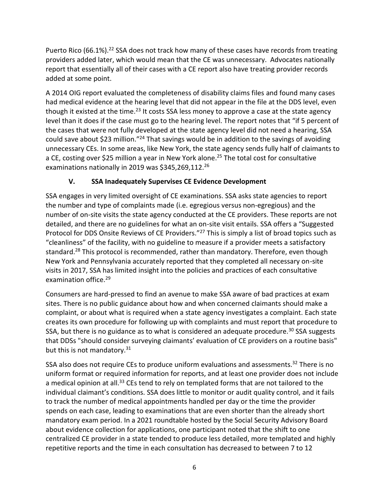Puerto Rico (66.1%).<sup>22</sup> SSA does not track how many of these cases have records from treating providers added later, which would mean that the CE was unnecessary. Advocates nationally report that essentially all of their cases with a CE report also have treating provider records added at some point.

A 2014 OIG report evaluated the completeness of disability claims files and found many cases had medical evidence at the hearing level that did not appear in the file at the DDS level, even though it existed at the time.<sup>23</sup> It costs SSA less money to approve a case at the state agency level than it does if the case must go to the hearing level. The report notes that "if 5 percent of the cases that were not fully developed at the state agency level did not need a hearing, SSA could save about \$23 million."<sup>24</sup> That savings would be in addition to the savings of avoiding unnecessary CEs. In some areas, like New York, the state agency sends fully half of claimants to a CE, costing over \$25 million a year in New York alone. <sup>25</sup> The total cost for consultative examinations nationally in 2019 was \$345,269,112.<sup>26</sup>

## **V. SSA Inadequately Supervises CE Evidence Development**

SSA engages in very limited oversight of CE examinations. SSA asks state agencies to report the number and type of complaints made (i.e. egregious versus non-egregious) and the number of on-site visits the state agency conducted at the CE providers. These reports are not detailed, and there are no guidelines for what an on-site visit entails. SSA offers a "Suggested Protocol for DDS Onsite Reviews of CE Providers."<sup>27</sup> This is simply a list of broad topics such as "cleanliness" of the facility, with no guideline to measure if a provider meets a satisfactory standard.<sup>28</sup> This protocol is recommended, rather than mandatory. Therefore, even though New York and Pennsylvania accurately reported that they completed all necessary on-site visits in 2017, SSA has limited insight into the policies and practices of each consultative examination office.<sup>29</sup>

Consumers are hard-pressed to find an avenue to make SSA aware of bad practices at exam sites. There is no public guidance about how and when concerned claimants should make a complaint, or about what is required when a state agency investigates a complaint. Each state creates its own procedure for following up with complaints and must report that procedure to SSA, but there is no guidance as to what is considered an adequate procedure.<sup>30</sup> SSA suggests that DDSs "should consider surveying claimants' evaluation of CE providers on a routine basis" but this is not mandatory.<sup>31</sup>

SSA also does not require CEs to produce uniform evaluations and assessments.<sup>32</sup> There is no uniform format or required information for reports, and at least one provider does not include a medical opinion at all.<sup>33</sup> CEs tend to rely on templated forms that are not tailored to the individual claimant's conditions. SSA does little to monitor or audit quality control, and it fails to track the number of medical appointments handled per day or the time the provider spends on each case, leading to examinations that are even shorter than the already short mandatory exam period. In a 2021 roundtable hosted by the Social Security Advisory Board about evidence collection for applications, one participant noted that the shift to one centralized CE provider in a state tended to produce less detailed, more templated and highly repetitive reports and the time in each consultation has decreased to between 7 to 12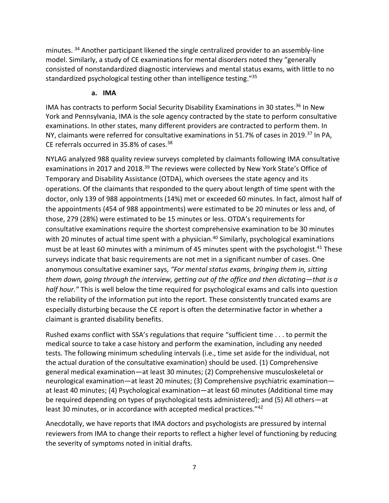minutes. <sup>34</sup> Another participant likened the single centralized provider to an assembly-line model. Similarly, a study of CE examinations for mental disorders noted they "generally consisted of nonstandardized diagnostic interviews and mental status exams, with little to no standardized psychological testing other than intelligence testing."<sup>35</sup>

#### **a. IMA**

IMA has contracts to perform Social Security Disability Examinations in 30 states.<sup>36</sup> In New York and Pennsylvania, IMA is the sole agency contracted by the state to perform consultative examinations. In other states, many different providers are contracted to perform them. In NY, claimants were referred for consultative examinations in 51.7% of cases in 2019.<sup>37</sup> In PA, CE referrals occurred in 35.8% of cases.<sup>38</sup>

NYLAG analyzed 988 quality review surveys completed by claimants following IMA consultative examinations in 2017 and 2018.<sup>39</sup> The reviews were collected by New York State's Office of Temporary and Disability Assistance (OTDA), which oversees the state agency and its operations. Of the claimants that responded to the query about length of time spent with the doctor, only 139 of 988 appointments (14%) met or exceeded 60 minutes. In fact, almost half of the appointments (454 of 988 appointments) were estimated to be 20 minutes or less and, of those, 279 (28%) were estimated to be 15 minutes or less. OTDA's requirements for consultative examinations require the shortest comprehensive examination to be 30 minutes with 20 minutes of actual time spent with a physician.<sup>40</sup> Similarly, psychological examinations must be at least 60 minutes with a minimum of 45 minutes spent with the psychologist.<sup>41</sup> These surveys indicate that basic requirements are not met in a significant number of cases. One anonymous consultative examiner says, *"For mental status exams, bringing them in, sitting them down, going through the interview, getting out of the office and then dictating—that is a half hour."* This is well below the time required for psychological exams and calls into question the reliability of the information put into the report. These consistently truncated exams are especially disturbing because the CE report is often the determinative factor in whether a claimant is granted disability benefits.

Rushed exams conflict with SSA's regulations that require "sufficient time . . . to permit the medical source to take a case history and perform the examination, including any needed tests. The following minimum scheduling intervals (i.e., time set aside for the individual, not the actual duration of the consultative examination) should be used. (1) Comprehensive general medical examination—at least 30 minutes; (2) Comprehensive musculoskeletal or neurological examination—at least 20 minutes; (3) Comprehensive psychiatric examination at least 40 minutes; (4) Psychological examination—at least 60 minutes (Additional time may be required depending on types of psychological tests administered); and (5) All others—at least 30 minutes, or in accordance with accepted medical practices."42

Anecdotally, we have reports that IMA doctors and psychologists are pressured by internal reviewers from IMA to change their reports to reflect a higher level of functioning by reducing the severity of symptoms noted in initial drafts.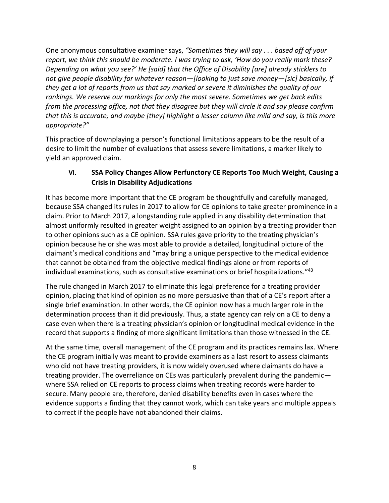One anonymous consultative examiner says, *"Sometimes they will say . . . based off of your report, we think this should be moderate. I was trying to ask, 'How do you really mark these? Depending on what you see?' He [said] that the Office of Disability [are] already sticklers to not give people disability for whatever reason—[looking to just save money—[sic] basically, if they get a lot of reports from us that say marked or severe it diminishes the quality of our rankings. We reserve our markings for only the most severe. Sometimes we get back edits from the processing office, not that they disagree but they will circle it and say please confirm that this is accurate; and maybe [they] highlight a lesser column like mild and say, is this more appropriate?"*

This practice of downplaying a person's functional limitations appears to be the result of a desire to limit the number of evaluations that assess severe limitations, a marker likely to yield an approved claim.

## **VI. SSA Policy Changes Allow Perfunctory CE Reports Too Much Weight, Causing a Crisis in Disability Adjudications**

It has become more important that the CE program be thoughtfully and carefully managed, because SSA changed its rules in 2017 to allow for CE opinions to take greater prominence in a claim. Prior to March 2017, a longstanding rule applied in any disability determination that almost uniformly resulted in greater weight assigned to an opinion by a treating provider than to other opinions such as a CE opinion. SSA rules gave priority to the treating physician's opinion because he or she was most able to provide a detailed, longitudinal picture of the claimant's medical conditions and "may bring a unique perspective to the medical evidence that cannot be obtained from the objective medical findings alone or from reports of individual examinations, such as consultative examinations or brief hospitalizations." 43

The rule changed in March 2017 to eliminate this legal preference for a treating provider opinion, placing that kind of opinion as no more persuasive than that of a CE's report after a single brief examination. In other words, the CE opinion now has a much larger role in the determination process than it did previously. Thus, a state agency can rely on a CE to deny a case even when there is a treating physician's opinion or longitudinal medical evidence in the record that supports a finding of more significant limitations than those witnessed in the CE.

At the same time, overall management of the CE program and its practices remains lax. Where the CE program initially was meant to provide examiners as a last resort to assess claimants who did not have treating providers, it is now widely overused where claimants do have a treating provider. The overreliance on CEs was particularly prevalent during the pandemic where SSA relied on CE reports to process claims when treating records were harder to secure. Many people are, therefore, denied disability benefits even in cases where the evidence supports a finding that they cannot work, which can take years and multiple appeals to correct if the people have not abandoned their claims.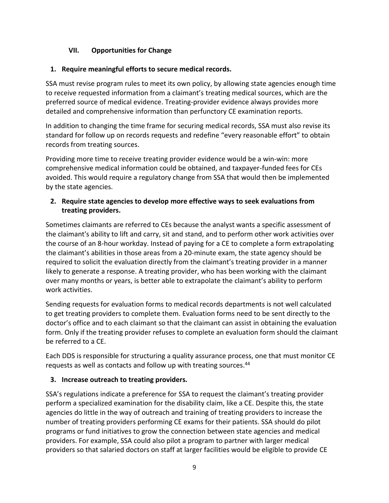### **VII. Opportunities for Change**

#### **1. Require meaningful efforts to secure medical records.**

SSA must revise program rules to meet its own policy, by allowing state agencies enough time to receive requested information from a claimant's treating medical sources, which are the preferred source of medical evidence. Treating-provider evidence always provides more detailed and comprehensive information than perfunctory CE examination reports.

In addition to changing the time frame for securing medical records, SSA must also revise its standard for follow up on records requests and redefine "every reasonable effort" to obtain records from treating sources.

Providing more time to receive treating provider evidence would be a win-win: more comprehensive medical information could be obtained, and taxpayer-funded fees for CEs avoided. This would require a regulatory change from SSA that would then be implemented by the state agencies.

### **2. Require state agencies to develop more effective ways to seek evaluations from treating providers.**

Sometimes claimants are referred to CEs because the analyst wants a specific assessment of the claimant's ability to lift and carry, sit and stand, and to perform other work activities over the course of an 8-hour workday. Instead of paying for a CE to complete a form extrapolating the claimant's abilities in those areas from a 20-minute exam, the state agency should be required to solicit the evaluation directly from the claimant's treating provider in a manner likely to generate a response. A treating provider, who has been working with the claimant over many months or years, is better able to extrapolate the claimant's ability to perform work activities.

Sending requests for evaluation forms to medical records departments is not well calculated to get treating providers to complete them. Evaluation forms need to be sent directly to the doctor's office and to each claimant so that the claimant can assist in obtaining the evaluation form. Only if the treating provider refuses to complete an evaluation form should the claimant be referred to a CE.

Each DDS is responsible for structuring a quality assurance process, one that must monitor CE requests as well as contacts and follow up with treating sources.<sup>44</sup>

## **3. Increase outreach to treating providers.**

SSA's regulations indicate a preference for SSA to request the claimant's treating provider perform a specialized examination for the disability claim, like a CE. Despite this, the state agencies do little in the way of outreach and training of treating providers to increase the number of treating providers performing CE exams for their patients. SSA should do pilot programs or fund initiatives to grow the connection between state agencies and medical providers. For example, SSA could also pilot a program to partner with larger medical providers so that salaried doctors on staff at larger facilities would be eligible to provide CE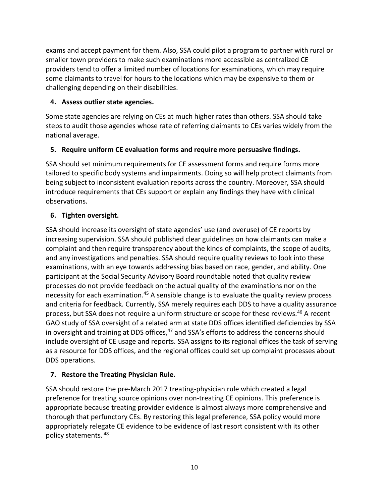exams and accept payment for them. Also, SSA could pilot a program to partner with rural or smaller town providers to make such examinations more accessible as centralized CE providers tend to offer a limited number of locations for examinations, which may require some claimants to travel for hours to the locations which may be expensive to them or challenging depending on their disabilities.

### **4. Assess outlier state agencies.**

Some state agencies are relying on CEs at much higher rates than others. SSA should take steps to audit those agencies whose rate of referring claimants to CEs varies widely from the national average.

## **5. Require uniform CE evaluation forms and require more persuasive findings.**

SSA should set minimum requirements for CE assessment forms and require forms more tailored to specific body systems and impairments. Doing so will help protect claimants from being subject to inconsistent evaluation reports across the country. Moreover, SSA should introduce requirements that CEs support or explain any findings they have with clinical observations.

## **6. Tighten oversight.**

SSA should increase its oversight of state agencies' use (and overuse) of CE reports by increasing supervision. SSA should published clear guidelines on how claimants can make a complaint and then require transparency about the kinds of complaints, the scope of audits, and any investigations and penalties. SSA should require quality reviews to look into these examinations, with an eye towards addressing bias based on race, gender, and ability. One participant at the Social Security Advisory Board roundtable noted that quality review processes do not provide feedback on the actual quality of the examinations nor on the necessity for each examination.<sup>45</sup> A sensible change is to evaluate the quality review process and criteria for feedback. Currently, SSA merely requires each DDS to have a quality assurance process, but SSA does not require a uniform structure or scope for these reviews.<sup>46</sup> A recent GAO study of SSA oversight of a related arm at state DDS offices identified deficiencies by SSA in oversight and training at DDS offices,<sup>47</sup> and SSA's efforts to address the concerns should include oversight of CE usage and reports. SSA assigns to its regional offices the task of serving as a resource for DDS offices, and the regional offices could set up complaint processes about DDS operations.

## **7. Restore the Treating Physician Rule.**

SSA should restore the pre-March 2017 treating-physician rule which created a legal preference for treating source opinions over non-treating CE opinions. This preference is appropriate because treating provider evidence is almost always more comprehensive and thorough that perfunctory CEs. By restoring this legal preference, SSA policy would more appropriately relegate CE evidence to be evidence of last resort consistent with its other policy statements. <sup>48</sup>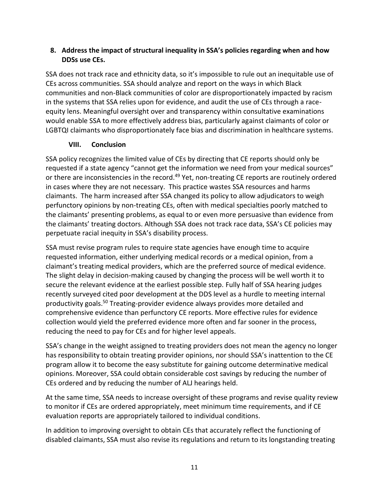### **8. Address the impact of structural inequality in SSA's policies regarding when and how DDSs use CEs.**

SSA does not track race and ethnicity data, so it's impossible to rule out an inequitable use of CEs across communities. SSA should analyze and report on the ways in which Black communities and non-Black communities of color are disproportionately impacted by racism in the systems that SSA relies upon for evidence, and audit the use of CEs through a raceequity lens. Meaningful oversight over and transparency within consultative examinations would enable SSA to more effectively address bias, particularly against claimants of color or LGBTQI claimants who disproportionately face bias and discrimination in healthcare systems.

### **VIII. Conclusion**

SSA policy recognizes the limited value of CEs by directing that CE reports should only be requested if a state agency "cannot get the information we need from your medical sources" or there are inconsistencies in the record.<sup>49</sup> Yet, non-treating CE reports are routinely ordered in cases where they are not necessary. This practice wastes SSA resources and harms claimants. The harm increased after SSA changed its policy to allow adjudicators to weigh perfunctory opinions by non-treating CEs, often with medical specialties poorly matched to the claimants' presenting problems, as equal to or even more persuasive than evidence from the claimants' treating doctors. Although SSA does not track race data, SSA's CE policies may perpetuate racial inequity in SSA's disability process.

SSA must revise program rules to require state agencies have enough time to acquire requested information, either underlying medical records or a medical opinion, from a claimant's treating medical providers, which are the preferred source of medical evidence. The slight delay in decision-making caused by changing the process will be well worth it to secure the relevant evidence at the earliest possible step. Fully half of SSA hearing judges recently surveyed cited poor development at the DDS level as a hurdle to meeting internal productivity goals.<sup>50</sup> Treating-provider evidence always provides more detailed and comprehensive evidence than perfunctory CE reports. More effective rules for evidence collection would yield the preferred evidence more often and far sooner in the process, reducing the need to pay for CEs and for higher level appeals.

SSA's change in the weight assigned to treating providers does not mean the agency no longer has responsibility to obtain treating provider opinions, nor should SSA's inattention to the CE program allow it to become the easy substitute for gaining outcome determinative medical opinions. Moreover, SSA could obtain considerable cost savings by reducing the number of CEs ordered and by reducing the number of ALJ hearings held.

At the same time, SSA needs to increase oversight of these programs and revise quality review to monitor if CEs are ordered appropriately, meet minimum time requirements, and if CE evaluation reports are appropriately tailored to individual conditions.

In addition to improving oversight to obtain CEs that accurately reflect the functioning of disabled claimants, SSA must also revise its regulations and return to its longstanding treating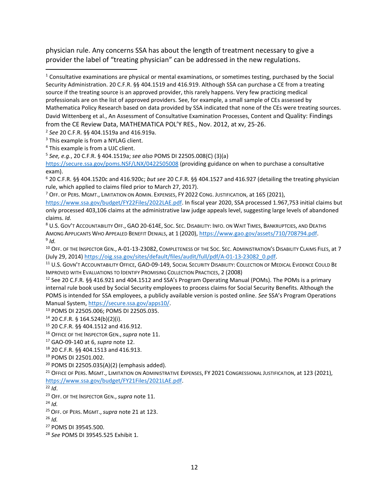physician rule. Any concerns SSA has about the length of treatment necessary to give a provider the label of "treating physician" can be addressed in the new regulations.

l

<sup>6</sup> 20 C.F.R. §§ 404.1520c and 416.920c; *but see* 20 C.F.R. §§ 404.1527 and 416.927 (detailing the treating physician rule, which applied to claims filed prior to March 27, 2017).

 $7$  OFF. OF PERS. MGMT., LIMITATION ON ADMIN. EXPENSES, FY 2022 CONG. JUSTIFICATION, at 165 (2021),

[https://www.ssa.gov/budget/FY22Files/2022LAE.pdf.](https://www.ssa.gov/budget/FY22Files/2022LAE.pdf) In fiscal year 2020, SSA processed 1.967,753 initial claims but only processed 403,106 claims at the administrative law judge appeals level, suggesting large levels of abandoned claims. *Id.*

<sup>8</sup> U.S. GOV'T ACCOUNTABILITY OFF., GAO 20-614E, SOC. SEC. DISABILITY: INFO. ON WAIT TIMES, BANKRUPTCIES, AND DEATHS AMONG APPLICANTS WHO APPEALED BENEFIT DENIALS, at 1 (2020), [https://www.gao.gov/assets/710/708794.pdf.](https://www.gao.gov/assets/710/708794.pdf) 9 *Id.*

<sup>10</sup> OFF. OF THE INSPECTOR GEN., A-01-13-23082, COMPLETENESS OF THE SOC. SEC. ADMINISTRATION'S DISABILITY CLAIMS FILES, at 7 (July 29, 2014) [https://oig.ssa.gov/sites/default/files/audit/full/pdf/A-01-13-23082\\_0.pdf.](https://oig.ssa.gov/sites/default/files/audit/full/pdf/A-01-13-23082_0.pdf)

<sup>11</sup> U.S. GOVN'T ACCOUNTABILITY OFFICE, GAO-09-149, SOCIAL SECURITY DISABILITY: COLLECTION OF MEDICAL EVIDENCE COULD BE IMPROVED WITH EVALUATIONS TO IDENTIFY PROMISING COLLECTION PRACTICES, 2 (2008)

<sup>12</sup> See 20 C.F.R. §§ 416.921 and 404.1512 and SSA's Program Operating Manual (POMs). The POMs is a primary internal rule book used by Social Security employees to process claims for Social Security Benefits. Although the POMS is intended for SSA employees, a publicly available version is posted online. *See* SSA's Program Operations Manual System, [https://secure.ssa.gov/apps10/.](https://secure.ssa.gov/apps10/)

<sup>13</sup> POMS DI 22505.006; POMS DI 22505.035.

<sup>14</sup> 20 C.F.R. § 164.524(b)(2)(i).

- <sup>15</sup> 20 C.F.R. §§ 404.1512 and 416.912.
- <sup>16</sup> OFFICE OF THE INSPECTOR GEN.,*supra* note 11.

<sup>17</sup> GAO-09-140 at 6, *supra* note 12.

<sup>18</sup> 20 C.F.R. §§ 404.1513 and 416.913.

 $20$  POMS DI 22505.035(A)(2) (emphasis added).

<sup>21</sup> Office of Pers. Mgmt., Limitation on Administrative Expenses, FY 2021 Congressional Justification, at 123 (2021), [https://www.ssa.gov/budget/FY21Files/2021LAE.pdf.](https://www.ssa.gov/budget/FY21Files/2021LAE.pdf)

 $22$  *Id.* 

<sup>23</sup> OFF. OF THE INSPECTOR GEN.,*supra* note 11.

 $^{24}$  *Id.* 

<sup>25</sup> OFF. OF PERS. MGMT.,*supra* note 21 at 123.

 $^{26}$  *Id.* 

<sup>27</sup> POMS DI 39545.500.

<sup>28</sup> *See* POMS DI 39545.525 Exhibit 1.

 $1$  Consultative examinations are physical or mental examinations, or sometimes testing, purchased by the Social Security Administration. 20 C.F.R. §§ 404.1519 and 416.919. Although SSA can purchase a CE from a treating source if the treating source is an approved provider, this rarely happens. Very few practicing medical professionals are on the list of approved providers. See, for example, a small sample of CEs assessed by Mathematica Policy Research based on data provided by SSA indicated that none of the CEs were treating sources. David Wittenberg et al., An Assessment of Consultative Examination Processes, Content and Quality: Findings from the CE Review Data, MATHEMATICA POL'Y RES., Nov. 2012, at xv, 25-26.

<sup>2</sup> *See* 20 C.F.R. §§ 404.1519a and 416.919a.

<sup>&</sup>lt;sup>3</sup> This example is from a NYLAG client.

<sup>4</sup> This example is from a UJC client.

<sup>5</sup> *See, e.g.*, 20 C.F.R. § 404.1519a; *see also* POMS DI 22505.008(C) (3)(a)

<https://secure.ssa.gov/poms.NSF/LNX/0422505008> (providing guidance on when to purchase a consultative exam).

<sup>19</sup> POMS DI 22501.002.